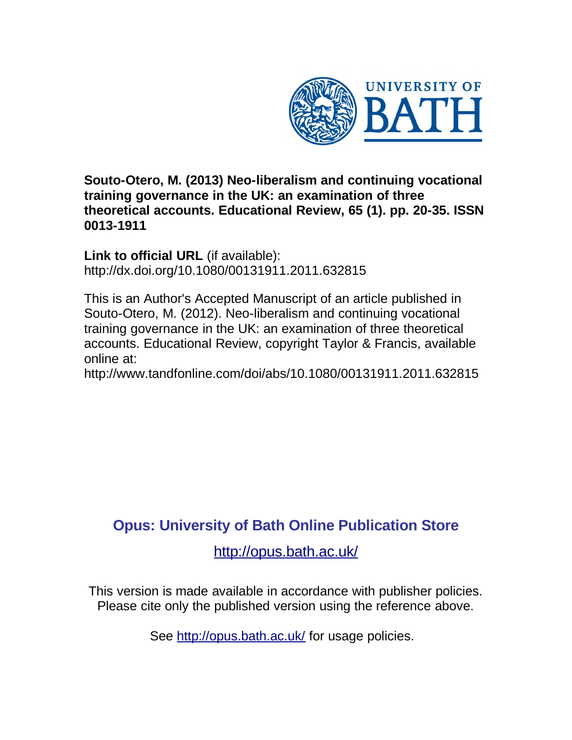

**Souto-Otero, M. (2013) Neo-liberalism and continuing vocational training governance in the UK: an examination of three theoretical accounts. Educational Review, 65 (1). pp. 20-35. ISSN 0013-1911**

**Link to official URL** (if available): http://dx.doi.org/10.1080/00131911.2011.632815

This is an Author's Accepted Manuscript of an article published in Souto-Otero, M. (2012). Neo-liberalism and continuing vocational training governance in the UK: an examination of three theoretical accounts. Educational Review, copyright Taylor & Francis, available online at:

http://www.tandfonline.com/doi/abs/10.1080/00131911.2011.632815

### **Opus: University of Bath Online Publication Store**

<http://opus.bath.ac.uk/>

This version is made available in accordance with publisher policies. Please cite only the published version using the reference above.

See<http://opus.bath.ac.uk/> for usage policies.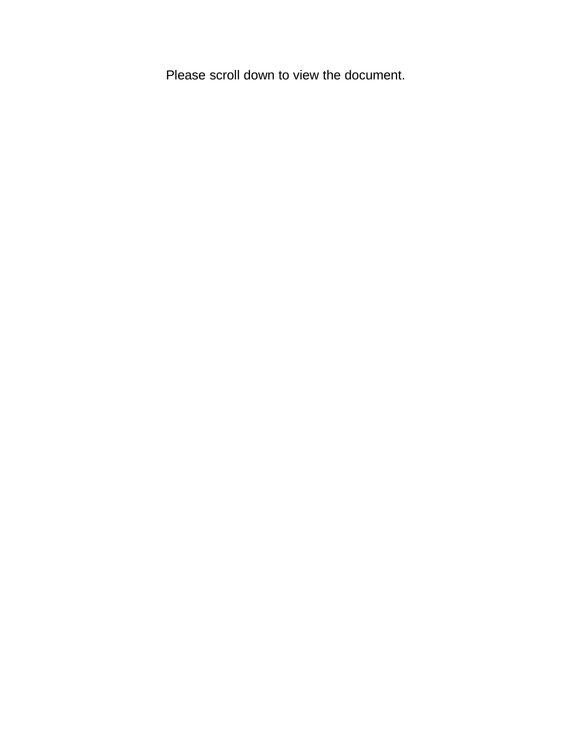Please scroll down to view the document.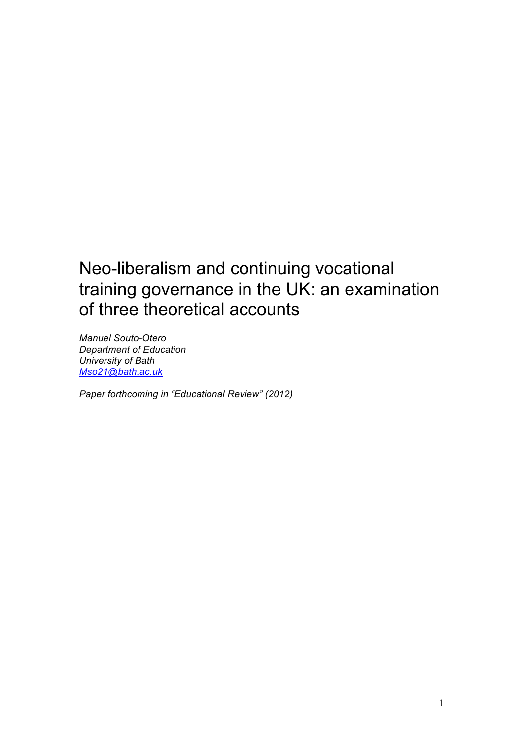## Neo-liberalism and continuing vocational training governance in the UK: an examination of three theoretical accounts

*Manuel Souto-Otero Department of Education University of Bath Mso21@bath.ac.uk*

*Paper forthcoming in "Educational Review" (2012)*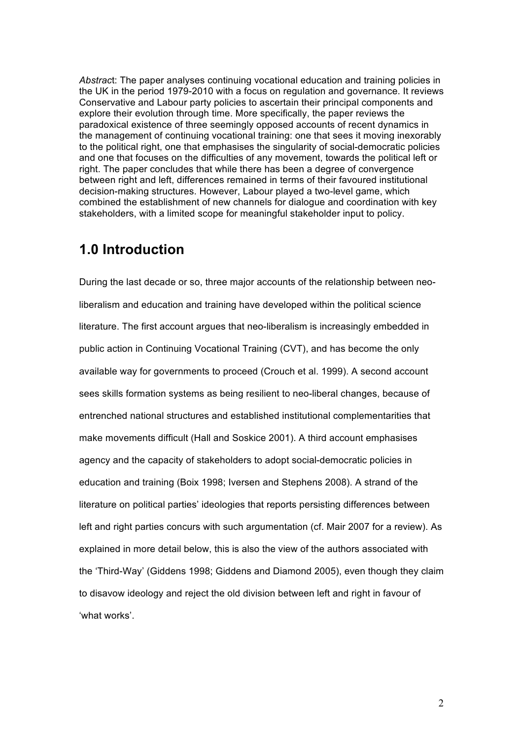*Abstrac*t: The paper analyses continuing vocational education and training policies in the UK in the period 1979-2010 with a focus on regulation and governance. It reviews Conservative and Labour party policies to ascertain their principal components and explore their evolution through time. More specifically, the paper reviews the paradoxical existence of three seemingly opposed accounts of recent dynamics in the management of continuing vocational training: one that sees it moving inexorably to the political right, one that emphasises the singularity of social-democratic policies and one that focuses on the difficulties of any movement, towards the political left or right. The paper concludes that while there has been a degree of convergence between right and left, differences remained in terms of their favoured institutional decision-making structures. However, Labour played a two-level game, which combined the establishment of new channels for dialogue and coordination with key stakeholders, with a limited scope for meaningful stakeholder input to policy.

### **1.0 Introduction**

During the last decade or so, three major accounts of the relationship between neoliberalism and education and training have developed within the political science literature. The first account argues that neo-liberalism is increasingly embedded in public action in Continuing Vocational Training (CVT), and has become the only available way for governments to proceed (Crouch et al. 1999). A second account sees skills formation systems as being resilient to neo-liberal changes, because of entrenched national structures and established institutional complementarities that make movements difficult (Hall and Soskice 2001). A third account emphasises agency and the capacity of stakeholders to adopt social-democratic policies in education and training (Boix 1998; Iversen and Stephens 2008). A strand of the literature on political parties' ideologies that reports persisting differences between left and right parties concurs with such argumentation (cf. Mair 2007 for a review). As explained in more detail below, this is also the view of the authors associated with the 'Third-Way' (Giddens 1998; Giddens and Diamond 2005), even though they claim to disavow ideology and reject the old division between left and right in favour of 'what works'.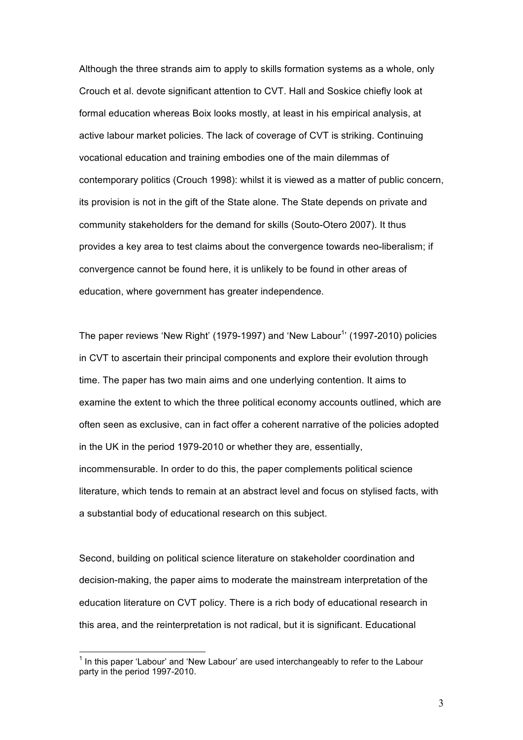Although the three strands aim to apply to skills formation systems as a whole, only Crouch et al. devote significant attention to CVT. Hall and Soskice chiefly look at formal education whereas Boix looks mostly, at least in his empirical analysis, at active labour market policies. The lack of coverage of CVT is striking. Continuing vocational education and training embodies one of the main dilemmas of contemporary politics (Crouch 1998): whilst it is viewed as a matter of public concern, its provision is not in the gift of the State alone. The State depends on private and community stakeholders for the demand for skills (Souto-Otero 2007). It thus provides a key area to test claims about the convergence towards neo-liberalism; if convergence cannot be found here, it is unlikely to be found in other areas of education, where government has greater independence.

The paper reviews 'New Right' (1979-1997) and 'New Labour<sup>1</sup>' (1997-2010) policies in CVT to ascertain their principal components and explore their evolution through time. The paper has two main aims and one underlying contention. It aims to examine the extent to which the three political economy accounts outlined, which are often seen as exclusive, can in fact offer a coherent narrative of the policies adopted in the UK in the period 1979-2010 or whether they are, essentially, incommensurable. In order to do this, the paper complements political science literature, which tends to remain at an abstract level and focus on stylised facts, with a substantial body of educational research on this subject.

Second, building on political science literature on stakeholder coordination and decision-making, the paper aims to moderate the mainstream interpretation of the education literature on CVT policy. There is a rich body of educational research in this area, and the reinterpretation is not radical, but it is significant. Educational

1 In this paper 'Labour' and 'New Labour' are used interchangeably to refer to the Labour party in the period 1997-2010.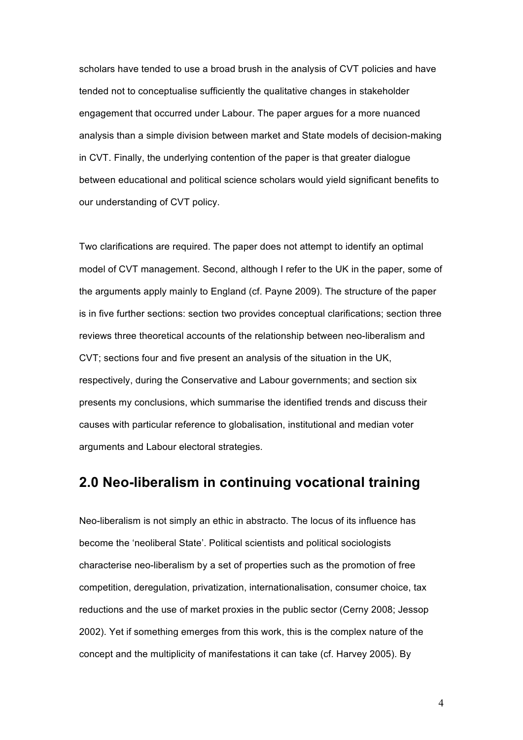scholars have tended to use a broad brush in the analysis of CVT policies and have tended not to conceptualise sufficiently the qualitative changes in stakeholder engagement that occurred under Labour. The paper argues for a more nuanced analysis than a simple division between market and State models of decision-making in CVT. Finally, the underlying contention of the paper is that greater dialogue between educational and political science scholars would yield significant benefits to our understanding of CVT policy.

Two clarifications are required. The paper does not attempt to identify an optimal model of CVT management. Second, although I refer to the UK in the paper, some of the arguments apply mainly to England (cf. Payne 2009). The structure of the paper is in five further sections: section two provides conceptual clarifications; section three reviews three theoretical accounts of the relationship between neo-liberalism and CVT; sections four and five present an analysis of the situation in the UK, respectively, during the Conservative and Labour governments; and section six presents my conclusions, which summarise the identified trends and discuss their causes with particular reference to globalisation, institutional and median voter arguments and Labour electoral strategies.

### **2.0 Neo-liberalism in continuing vocational training**

Neo-liberalism is not simply an ethic in abstracto. The locus of its influence has become the 'neoliberal State'. Political scientists and political sociologists characterise neo-liberalism by a set of properties such as the promotion of free competition, deregulation, privatization, internationalisation, consumer choice, tax reductions and the use of market proxies in the public sector (Cerny 2008; Jessop 2002). Yet if something emerges from this work, this is the complex nature of the concept and the multiplicity of manifestations it can take (cf. Harvey 2005). By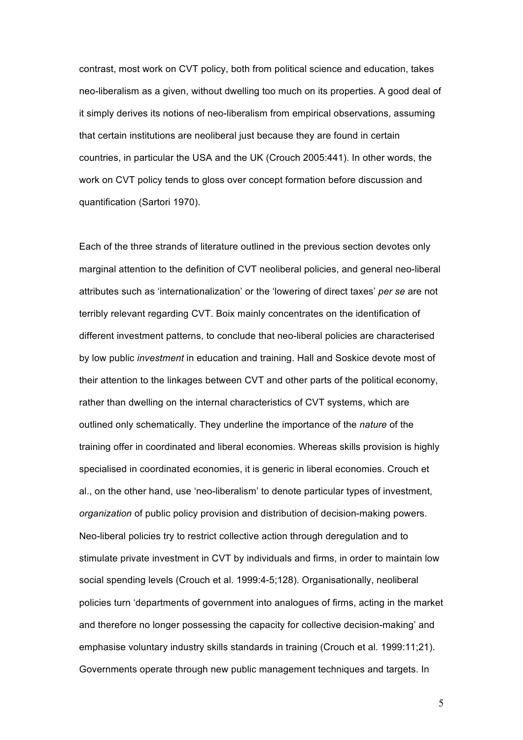contrast, most work on CVT policy, both from political science and education, takes neo-liberalism as a given, without dwelling too much on its properties. A good deal of it simply derives its notions of neo-liberalism from empirical observations, assuming that certain institutions are neoliberal just because they are found in certain countries, in particular the USA and the UK (Crouch 2005:441). In other words, the work on CVT policy tends to gloss over concept formation before discussion and quantification (Sartori 1970).

Each of the three strands of literature outlined in the previous section devotes only marginal attention to the definition of CVT neoliberal policies, and general neo-liberal attributes such as 'internationalization' or the 'lowering of direct taxes' *per se* are not terribly relevant regarding CVT. Boix mainly concentrates on the identification of different investment patterns, to conclude that neo-liberal policies are characterised by low public *investment* in education and training. Hall and Soskice devote most of their attention to the linkages between CVT and other parts of the political economy, rather than dwelling on the internal characteristics of CVT systems, which are outlined only schematically. They underline the importance of the *nature* of the training offer in coordinated and liberal economies. Whereas skills provision is highly specialised in coordinated economies, it is generic in liberal economies. Crouch et al., on the other hand, use 'neo-liberalism' to denote particular types of investment, *organization* of public policy provision and distribution of decision-making powers. Neo-liberal policies try to restrict collective action through deregulation and to stimulate private investment in CVT by individuals and firms, in order to maintain low social spending levels (Crouch et al. 1999:4-5;128). Organisationally, neoliberal policies turn 'departments of government into analogues of firms, acting in the market and therefore no longer possessing the capacity for collective decision-making' and emphasise voluntary industry skills standards in training (Crouch et al. 1999:11;21). Governments operate through new public management techniques and targets. In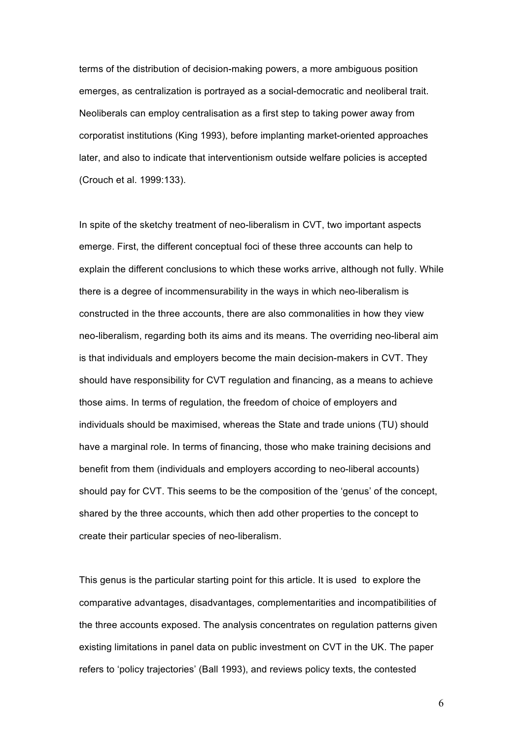terms of the distribution of decision-making powers, a more ambiguous position emerges, as centralization is portrayed as a social-democratic and neoliberal trait. Neoliberals can employ centralisation as a first step to taking power away from corporatist institutions (King 1993), before implanting market-oriented approaches later, and also to indicate that interventionism outside welfare policies is accepted (Crouch et al. 1999:133).

In spite of the sketchy treatment of neo-liberalism in CVT, two important aspects emerge. First, the different conceptual foci of these three accounts can help to explain the different conclusions to which these works arrive, although not fully. While there is a degree of incommensurability in the ways in which neo-liberalism is constructed in the three accounts, there are also commonalities in how they view neo-liberalism, regarding both its aims and its means. The overriding neo-liberal aim is that individuals and employers become the main decision-makers in CVT. They should have responsibility for CVT regulation and financing, as a means to achieve those aims. In terms of regulation, the freedom of choice of employers and individuals should be maximised, whereas the State and trade unions (TU) should have a marginal role. In terms of financing, those who make training decisions and benefit from them (individuals and employers according to neo-liberal accounts) should pay for CVT. This seems to be the composition of the 'genus' of the concept, shared by the three accounts, which then add other properties to the concept to create their particular species of neo-liberalism.

This genus is the particular starting point for this article. It is used to explore the comparative advantages, disadvantages, complementarities and incompatibilities of the three accounts exposed. The analysis concentrates on regulation patterns given existing limitations in panel data on public investment on CVT in the UK. The paper refers to 'policy trajectories' (Ball 1993), and reviews policy texts, the contested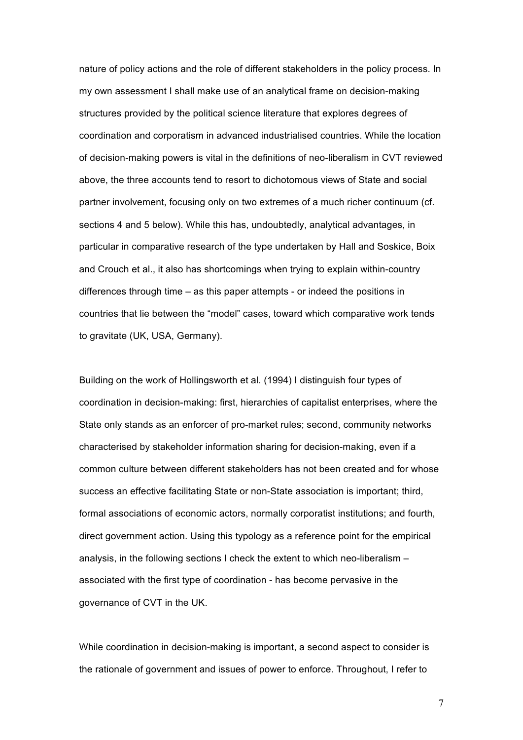nature of policy actions and the role of different stakeholders in the policy process. In my own assessment I shall make use of an analytical frame on decision-making structures provided by the political science literature that explores degrees of coordination and corporatism in advanced industrialised countries. While the location of decision-making powers is vital in the definitions of neo-liberalism in CVT reviewed above, the three accounts tend to resort to dichotomous views of State and social partner involvement, focusing only on two extremes of a much richer continuum (cf. sections 4 and 5 below). While this has, undoubtedly, analytical advantages, in particular in comparative research of the type undertaken by Hall and Soskice, Boix and Crouch et al., it also has shortcomings when trying to explain within-country differences through time – as this paper attempts - or indeed the positions in countries that lie between the "model" cases, toward which comparative work tends to gravitate (UK, USA, Germany).

Building on the work of Hollingsworth et al. (1994) I distinguish four types of coordination in decision-making: first, hierarchies of capitalist enterprises, where the State only stands as an enforcer of pro-market rules; second, community networks characterised by stakeholder information sharing for decision-making, even if a common culture between different stakeholders has not been created and for whose success an effective facilitating State or non-State association is important; third, formal associations of economic actors, normally corporatist institutions; and fourth, direct government action. Using this typology as a reference point for the empirical analysis, in the following sections I check the extent to which neo-liberalism – associated with the first type of coordination - has become pervasive in the governance of CVT in the UK.

While coordination in decision-making is important, a second aspect to consider is the rationale of government and issues of power to enforce. Throughout, I refer to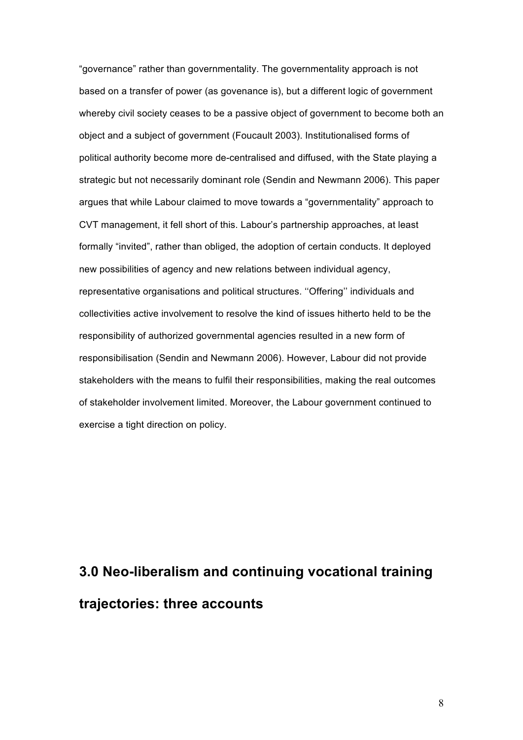"governance" rather than governmentality. The governmentality approach is not based on a transfer of power (as govenance is), but a different logic of government whereby civil society ceases to be a passive object of government to become both an object and a subject of government (Foucault 2003). Institutionalised forms of political authority become more de-centralised and diffused, with the State playing a strategic but not necessarily dominant role (Sendin and Newmann 2006). This paper argues that while Labour claimed to move towards a "governmentality" approach to CVT management, it fell short of this. Labour's partnership approaches, at least formally "invited", rather than obliged, the adoption of certain conducts. It deployed new possibilities of agency and new relations between individual agency, representative organisations and political structures. ''Offering'' individuals and collectivities active involvement to resolve the kind of issues hitherto held to be the responsibility of authorized governmental agencies resulted in a new form of responsibilisation (Sendin and Newmann 2006). However, Labour did not provide stakeholders with the means to fulfil their responsibilities, making the real outcomes of stakeholder involvement limited. Moreover, the Labour government continued to exercise a tight direction on policy.

# **3.0 Neo-liberalism and continuing vocational training trajectories: three accounts**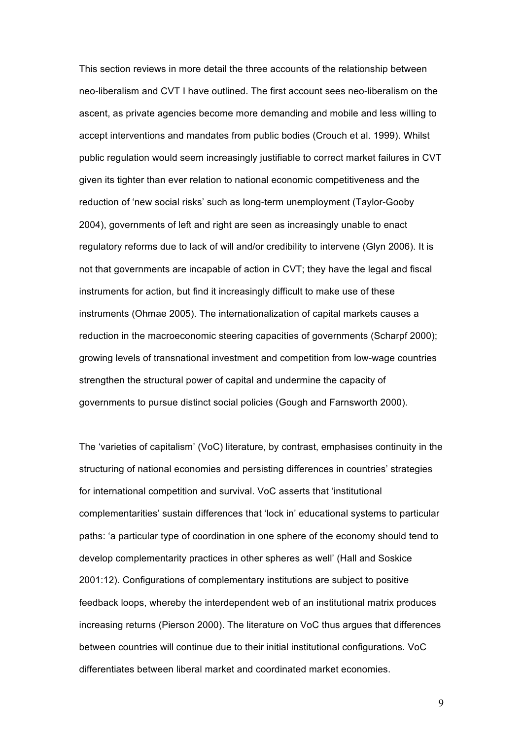This section reviews in more detail the three accounts of the relationship between neo-liberalism and CVT I have outlined. The first account sees neo-liberalism on the ascent, as private agencies become more demanding and mobile and less willing to accept interventions and mandates from public bodies (Crouch et al. 1999). Whilst public regulation would seem increasingly justifiable to correct market failures in CVT given its tighter than ever relation to national economic competitiveness and the reduction of 'new social risks' such as long-term unemployment (Taylor-Gooby 2004), governments of left and right are seen as increasingly unable to enact regulatory reforms due to lack of will and/or credibility to intervene (Glyn 2006). It is not that governments are incapable of action in CVT; they have the legal and fiscal instruments for action, but find it increasingly difficult to make use of these instruments (Ohmae 2005). The internationalization of capital markets causes a reduction in the macroeconomic steering capacities of governments (Scharpf 2000); growing levels of transnational investment and competition from low-wage countries strengthen the structural power of capital and undermine the capacity of governments to pursue distinct social policies (Gough and Farnsworth 2000).

The 'varieties of capitalism' (VoC) literature, by contrast, emphasises continuity in the structuring of national economies and persisting differences in countries' strategies for international competition and survival. VoC asserts that 'institutional complementarities' sustain differences that 'lock in' educational systems to particular paths: 'a particular type of coordination in one sphere of the economy should tend to develop complementarity practices in other spheres as well' (Hall and Soskice 2001:12). Configurations of complementary institutions are subject to positive feedback loops, whereby the interdependent web of an institutional matrix produces increasing returns (Pierson 2000). The literature on VoC thus argues that differences between countries will continue due to their initial institutional configurations. VoC differentiates between liberal market and coordinated market economies.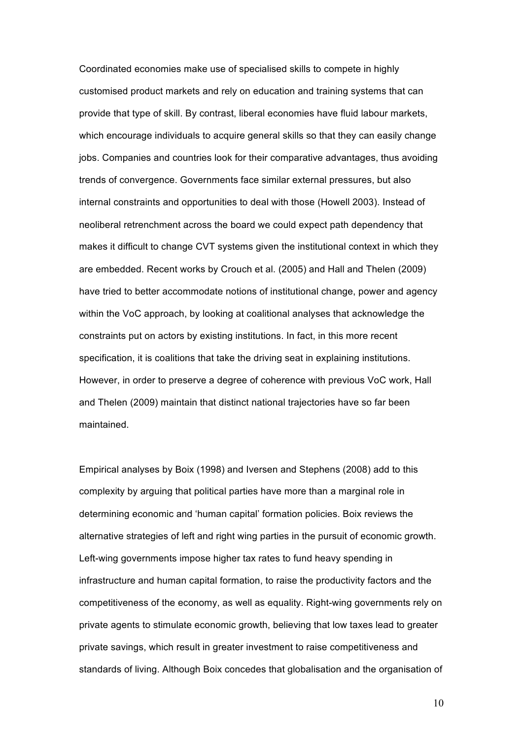Coordinated economies make use of specialised skills to compete in highly customised product markets and rely on education and training systems that can provide that type of skill. By contrast, liberal economies have fluid labour markets, which encourage individuals to acquire general skills so that they can easily change jobs. Companies and countries look for their comparative advantages, thus avoiding trends of convergence. Governments face similar external pressures, but also internal constraints and opportunities to deal with those (Howell 2003). Instead of neoliberal retrenchment across the board we could expect path dependency that makes it difficult to change CVT systems given the institutional context in which they are embedded. Recent works by Crouch et al. (2005) and Hall and Thelen (2009) have tried to better accommodate notions of institutional change, power and agency within the VoC approach, by looking at coalitional analyses that acknowledge the constraints put on actors by existing institutions. In fact, in this more recent specification, it is coalitions that take the driving seat in explaining institutions. However, in order to preserve a degree of coherence with previous VoC work, Hall and Thelen (2009) maintain that distinct national trajectories have so far been maintained.

Empirical analyses by Boix (1998) and Iversen and Stephens (2008) add to this complexity by arguing that political parties have more than a marginal role in determining economic and 'human capital' formation policies. Boix reviews the alternative strategies of left and right wing parties in the pursuit of economic growth. Left-wing governments impose higher tax rates to fund heavy spending in infrastructure and human capital formation, to raise the productivity factors and the competitiveness of the economy, as well as equality. Right-wing governments rely on private agents to stimulate economic growth, believing that low taxes lead to greater private savings, which result in greater investment to raise competitiveness and standards of living. Although Boix concedes that globalisation and the organisation of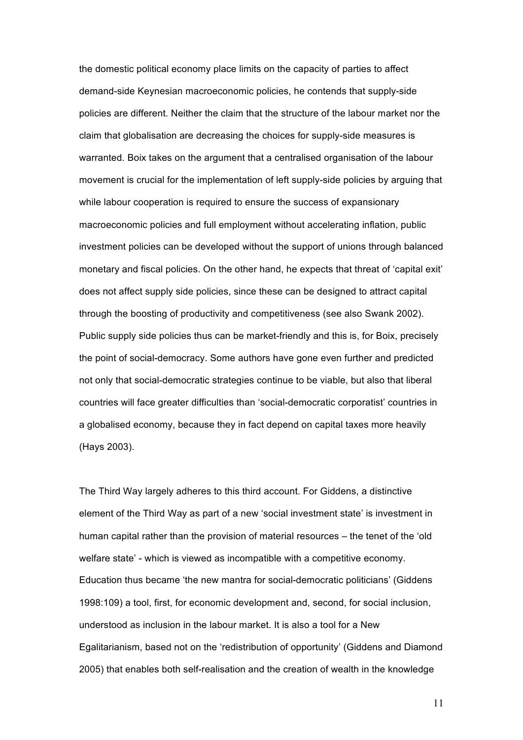the domestic political economy place limits on the capacity of parties to affect demand-side Keynesian macroeconomic policies, he contends that supply-side policies are different. Neither the claim that the structure of the labour market nor the claim that globalisation are decreasing the choices for supply-side measures is warranted. Boix takes on the argument that a centralised organisation of the labour movement is crucial for the implementation of left supply-side policies by arguing that while labour cooperation is required to ensure the success of expansionary macroeconomic policies and full employment without accelerating inflation, public investment policies can be developed without the support of unions through balanced monetary and fiscal policies. On the other hand, he expects that threat of 'capital exit' does not affect supply side policies, since these can be designed to attract capital through the boosting of productivity and competitiveness (see also Swank 2002). Public supply side policies thus can be market-friendly and this is, for Boix, precisely the point of social-democracy. Some authors have gone even further and predicted not only that social-democratic strategies continue to be viable, but also that liberal countries will face greater difficulties than 'social-democratic corporatist' countries in a globalised economy, because they in fact depend on capital taxes more heavily (Hays 2003).

The Third Way largely adheres to this third account. For Giddens, a distinctive element of the Third Way as part of a new 'social investment state' is investment in human capital rather than the provision of material resources – the tenet of the 'old welfare state' - which is viewed as incompatible with a competitive economy. Education thus became 'the new mantra for social-democratic politicians' (Giddens 1998:109) a tool, first, for economic development and, second, for social inclusion, understood as inclusion in the labour market. It is also a tool for a New Egalitarianism, based not on the 'redistribution of opportunity' (Giddens and Diamond 2005) that enables both self-realisation and the creation of wealth in the knowledge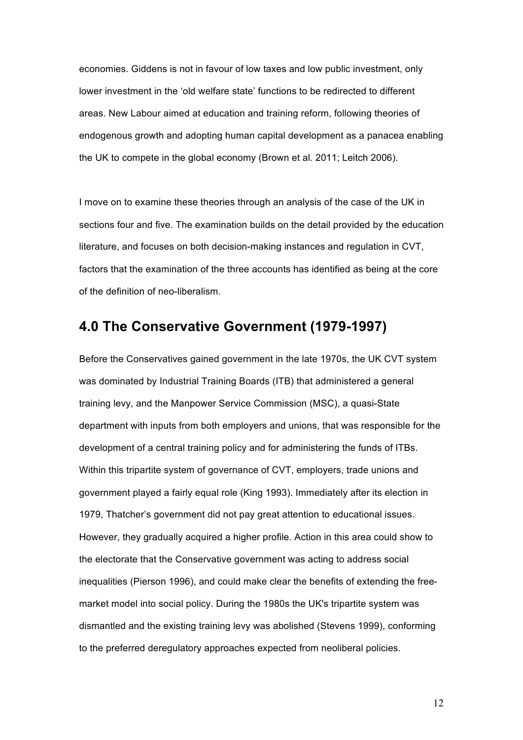economies. Giddens is not in favour of low taxes and low public investment, only lower investment in the 'old welfare state' functions to be redirected to different areas. New Labour aimed at education and training reform, following theories of endogenous growth and adopting human capital development as a panacea enabling the UK to compete in the global economy (Brown et al. 2011; Leitch 2006).

I move on to examine these theories through an analysis of the case of the UK in sections four and five. The examination builds on the detail provided by the education literature, and focuses on both decision-making instances and regulation in CVT, factors that the examination of the three accounts has identified as being at the core of the definition of neo-liberalism.

### **4.0 The Conservative Government (1979-1997)**

Before the Conservatives gained government in the late 1970s, the UK CVT system was dominated by Industrial Training Boards (ITB) that administered a general training levy, and the Manpower Service Commission (MSC), a quasi-State department with inputs from both employers and unions, that was responsible for the development of a central training policy and for administering the funds of ITBs. Within this tripartite system of governance of CVT, employers, trade unions and government played a fairly equal role (King 1993). Immediately after its election in 1979, Thatcher's government did not pay great attention to educational issues. However, they gradually acquired a higher profile. Action in this area could show to the electorate that the Conservative government was acting to address social inequalities (Pierson 1996), and could make clear the benefits of extending the freemarket model into social policy. During the 1980s the UK's tripartite system was dismantled and the existing training levy was abolished (Stevens 1999), conforming to the preferred deregulatory approaches expected from neoliberal policies.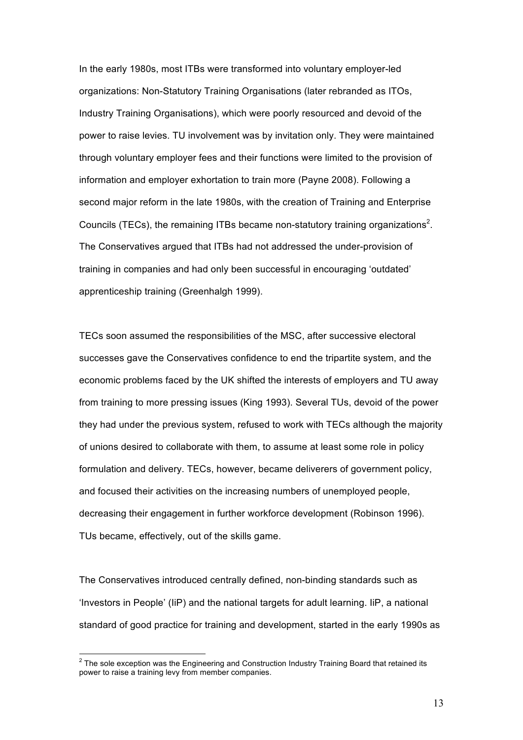In the early 1980s, most ITBs were transformed into voluntary employer-led organizations: Non-Statutory Training Organisations (later rebranded as ITOs, Industry Training Organisations), which were poorly resourced and devoid of the power to raise levies. TU involvement was by invitation only. They were maintained through voluntary employer fees and their functions were limited to the provision of information and employer exhortation to train more (Payne 2008). Following a second major reform in the late 1980s, with the creation of Training and Enterprise Councils (TECs), the remaining ITBs became non-statutory training organizations<sup>2</sup>. The Conservatives argued that ITBs had not addressed the under-provision of training in companies and had only been successful in encouraging 'outdated' apprenticeship training (Greenhalgh 1999).

TECs soon assumed the responsibilities of the MSC, after successive electoral successes gave the Conservatives confidence to end the tripartite system, and the economic problems faced by the UK shifted the interests of employers and TU away from training to more pressing issues (King 1993). Several TUs, devoid of the power they had under the previous system, refused to work with TECs although the majority of unions desired to collaborate with them, to assume at least some role in policy formulation and delivery. TECs, however, became deliverers of government policy, and focused their activities on the increasing numbers of unemployed people, decreasing their engagement in further workforce development (Robinson 1996). TUs became, effectively, out of the skills game.

The Conservatives introduced centrally defined, non-binding standards such as 'Investors in People' (IiP) and the national targets for adult learning. IiP, a national standard of good practice for training and development, started in the early 1990s as

 $2$  The sole exception was the Engineering and Construction Industry Training Board that retained its power to raise a training levy from member companies.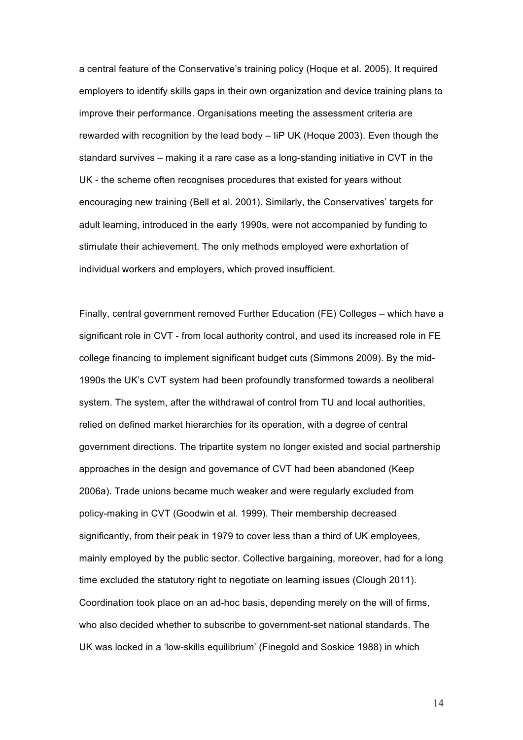a central feature of the Conservative's training policy (Hoque et al. 2005). It required employers to identify skills gaps in their own organization and device training plans to improve their performance. Organisations meeting the assessment criteria are rewarded with recognition by the lead body – IiP UK (Hoque 2003). Even though the standard survives – making it a rare case as a long-standing initiative in CVT in the UK - the scheme often recognises procedures that existed for years without encouraging new training (Bell et al. 2001). Similarly, the Conservatives' targets for adult learning, introduced in the early 1990s, were not accompanied by funding to stimulate their achievement. The only methods employed were exhortation of individual workers and employers, which proved insufficient.

Finally, central government removed Further Education (FE) Colleges – which have a significant role in CVT - from local authority control, and used its increased role in FE college financing to implement significant budget cuts (Simmons 2009). By the mid-1990s the UK's CVT system had been profoundly transformed towards a neoliberal system. The system, after the withdrawal of control from TU and local authorities, relied on defined market hierarchies for its operation, with a degree of central government directions. The tripartite system no longer existed and social partnership approaches in the design and governance of CVT had been abandoned (Keep 2006a). Trade unions became much weaker and were regularly excluded from policy-making in CVT (Goodwin et al. 1999). Their membership decreased significantly, from their peak in 1979 to cover less than a third of UK employees, mainly employed by the public sector. Collective bargaining, moreover, had for a long time excluded the statutory right to negotiate on learning issues (Clough 2011). Coordination took place on an ad-hoc basis, depending merely on the will of firms, who also decided whether to subscribe to government-set national standards. The UK was locked in a 'low-skills equilibrium' (Finegold and Soskice 1988) in which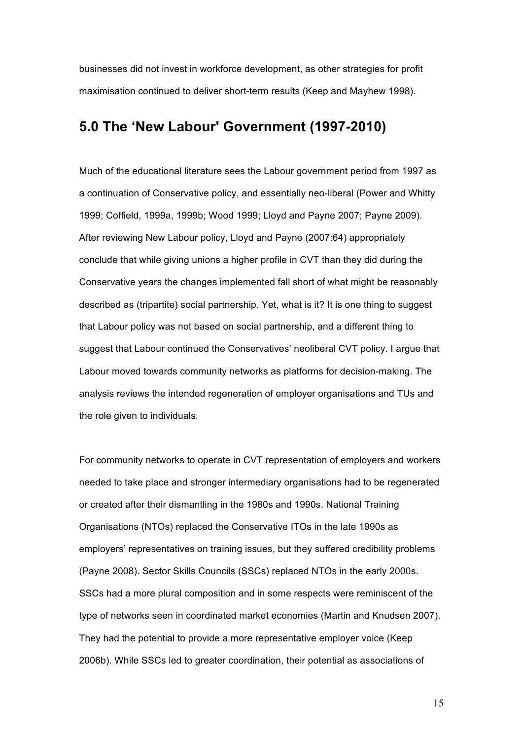businesses did not invest in workforce development, as other strategies for profit maximisation continued to deliver short-term results (Keep and Mayhew 1998).

### **5.0 The 'New Labour' Government (1997-2010)**

Much of the educational literature sees the Labour government period from 1997 as a continuation of Conservative policy, and essentially neo-liberal (Power and Whitty 1999; Coffield, 1999a, 1999b; Wood 1999; Lloyd and Payne 2007; Payne 2009). After reviewing New Labour policy, Lloyd and Payne (2007:64) appropriately conclude that while giving unions a higher profile in CVT than they did during the Conservative years the changes implemented fall short of what might be reasonably described as (tripartite) social partnership. Yet, what is it? It is one thing to suggest that Labour policy was not based on social partnership, and a different thing to suggest that Labour continued the Conservatives' neoliberal CVT policy. I argue that Labour moved towards community networks as platforms for decision-making. The analysis reviews the intended regeneration of employer organisations and TUs and the role given to individuals.

For community networks to operate in CVT representation of employers and workers needed to take place and stronger intermediary organisations had to be regenerated or created after their dismantling in the 1980s and 1990s. National Training Organisations (NTOs) replaced the Conservative ITOs in the late 1990s as employers' representatives on training issues, but they suffered credibility problems (Payne 2008). Sector Skills Councils (SSCs) replaced NTOs in the early 2000s. SSCs had a more plural composition and in some respects were reminiscent of the type of networks seen in coordinated market economies (Martin and Knudsen 2007). They had the potential to provide a more representative employer voice (Keep 2006b). While SSCs led to greater coordination, their potential as associations of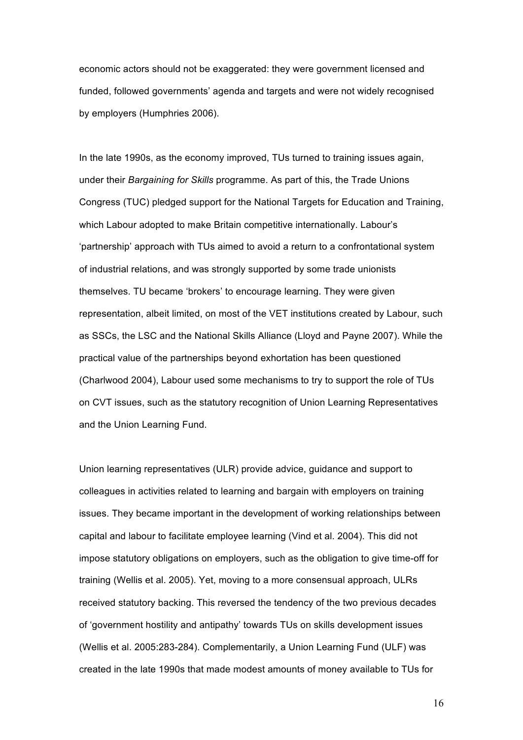economic actors should not be exaggerated: they were government licensed and funded, followed governments' agenda and targets and were not widely recognised by employers (Humphries 2006).

In the late 1990s, as the economy improved, TUs turned to training issues again, under their *Bargaining for Skills* programme. As part of this, the Trade Unions Congress (TUC) pledged support for the National Targets for Education and Training, which Labour adopted to make Britain competitive internationally. Labour's 'partnership' approach with TUs aimed to avoid a return to a confrontational system of industrial relations, and was strongly supported by some trade unionists themselves. TU became 'brokers' to encourage learning. They were given representation, albeit limited, on most of the VET institutions created by Labour, such as SSCs, the LSC and the National Skills Alliance (Lloyd and Payne 2007). While the practical value of the partnerships beyond exhortation has been questioned (Charlwood 2004), Labour used some mechanisms to try to support the role of TUs on CVT issues, such as the statutory recognition of Union Learning Representatives and the Union Learning Fund.

Union learning representatives (ULR) provide advice, guidance and support to colleagues in activities related to learning and bargain with employers on training issues. They became important in the development of working relationships between capital and labour to facilitate employee learning (Vind et al. 2004). This did not impose statutory obligations on employers, such as the obligation to give time-off for training (Wellis et al. 2005). Yet, moving to a more consensual approach, ULRs received statutory backing. This reversed the tendency of the two previous decades of 'government hostility and antipathy' towards TUs on skills development issues (Wellis et al. 2005:283-284). Complementarily, a Union Learning Fund (ULF) was created in the late 1990s that made modest amounts of money available to TUs for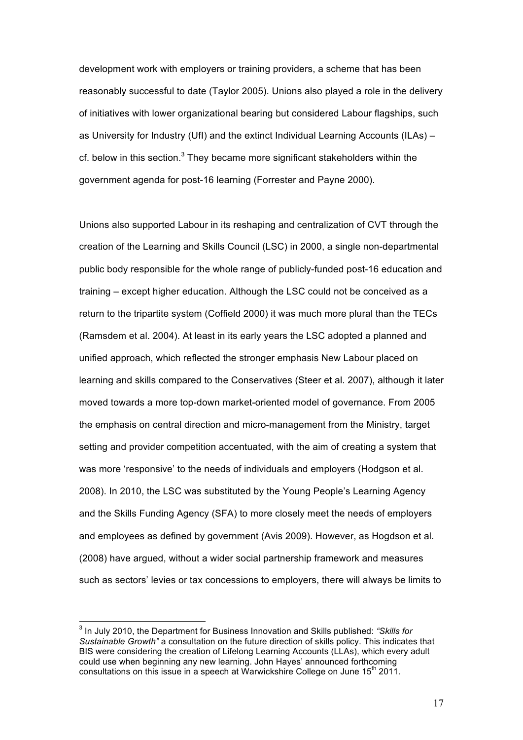development work with employers or training providers, a scheme that has been reasonably successful to date (Taylor 2005). Unions also played a role in the delivery of initiatives with lower organizational bearing but considered Labour flagships, such as University for Industry (UfI) and the extinct Individual Learning Accounts (ILAs) – cf. below in this section.<sup>3</sup> They became more significant stakeholders within the government agenda for post-16 learning (Forrester and Payne 2000).

Unions also supported Labour in its reshaping and centralization of CVT through the creation of the Learning and Skills Council (LSC) in 2000, a single non-departmental public body responsible for the whole range of publicly-funded post-16 education and training – except higher education. Although the LSC could not be conceived as a return to the tripartite system (Coffield 2000) it was much more plural than the TECs (Ramsdem et al. 2004). At least in its early years the LSC adopted a planned and unified approach, which reflected the stronger emphasis New Labour placed on learning and skills compared to the Conservatives (Steer et al. 2007), although it later moved towards a more top-down market-oriented model of governance. From 2005 the emphasis on central direction and micro-management from the Ministry, target setting and provider competition accentuated, with the aim of creating a system that was more 'responsive' to the needs of individuals and employers (Hodgson et al. 2008). In 2010, the LSC was substituted by the Young People's Learning Agency and the Skills Funding Agency (SFA) to more closely meet the needs of employers and employees as defined by government (Avis 2009). However, as Hogdson et al. (2008) have argued, without a wider social partnership framework and measures such as sectors' levies or tax concessions to employers, there will always be limits to

<sup>3</sup> In July 2010, the Department for Business Innovation and Skills published: *"Skills for Sustainable Growth"* a consultation on the future direction of skills policy. This indicates that BIS were considering the creation of Lifelong Learning Accounts (LLAs), which every adult could use when beginning any new learning. John Hayes' announced forthcoming consultations on this issue in a speech at Warwickshire College on June 15<sup>th</sup> 2011.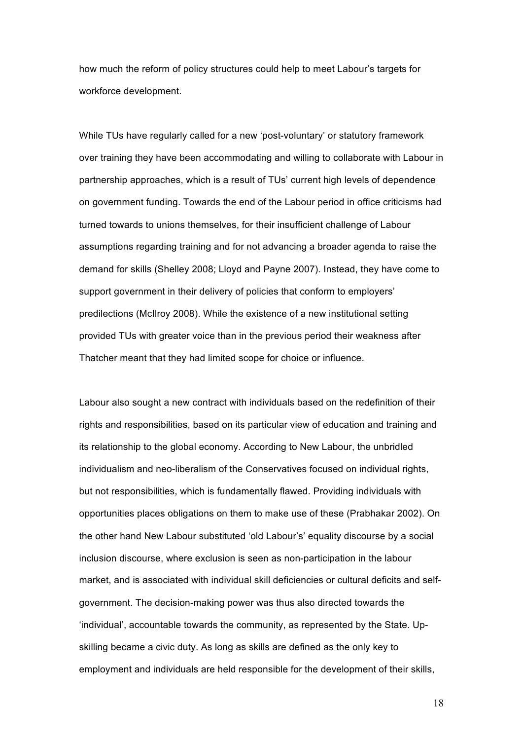how much the reform of policy structures could help to meet Labour's targets for workforce development.

While TUs have regularly called for a new 'post-voluntary' or statutory framework over training they have been accommodating and willing to collaborate with Labour in partnership approaches, which is a result of TUs' current high levels of dependence on government funding. Towards the end of the Labour period in office criticisms had turned towards to unions themselves, for their insufficient challenge of Labour assumptions regarding training and for not advancing a broader agenda to raise the demand for skills (Shelley 2008; Lloyd and Payne 2007). Instead, they have come to support government in their delivery of policies that conform to employers' predilections (McIlroy 2008). While the existence of a new institutional setting provided TUs with greater voice than in the previous period their weakness after Thatcher meant that they had limited scope for choice or influence.

Labour also sought a new contract with individuals based on the redefinition of their rights and responsibilities, based on its particular view of education and training and its relationship to the global economy. According to New Labour, the unbridled individualism and neo-liberalism of the Conservatives focused on individual rights, but not responsibilities, which is fundamentally flawed. Providing individuals with opportunities places obligations on them to make use of these (Prabhakar 2002). On the other hand New Labour substituted 'old Labour's' equality discourse by a social inclusion discourse, where exclusion is seen as non-participation in the labour market, and is associated with individual skill deficiencies or cultural deficits and selfgovernment. The decision-making power was thus also directed towards the 'individual', accountable towards the community, as represented by the State. Upskilling became a civic duty. As long as skills are defined as the only key to employment and individuals are held responsible for the development of their skills,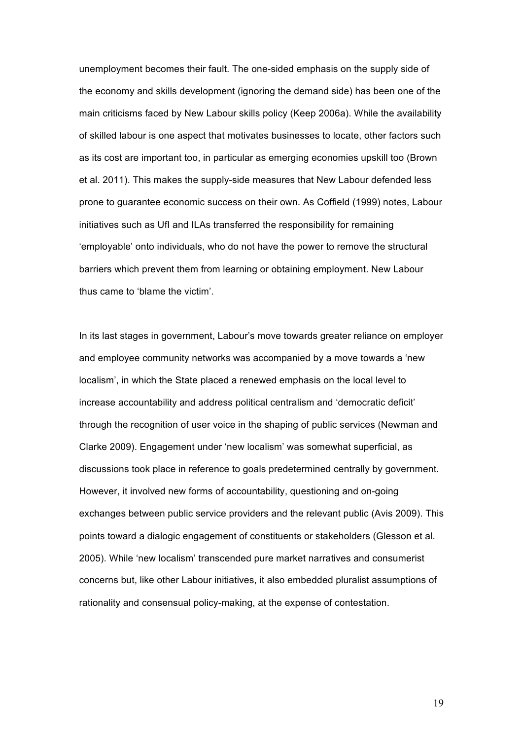unemployment becomes their fault. The one-sided emphasis on the supply side of the economy and skills development (ignoring the demand side) has been one of the main criticisms faced by New Labour skills policy (Keep 2006a). While the availability of skilled labour is one aspect that motivates businesses to locate, other factors such as its cost are important too, in particular as emerging economies upskill too (Brown et al. 2011). This makes the supply-side measures that New Labour defended less prone to guarantee economic success on their own. As Coffield (1999) notes, Labour initiatives such as UfI and ILAs transferred the responsibility for remaining 'employable' onto individuals, who do not have the power to remove the structural barriers which prevent them from learning or obtaining employment. New Labour thus came to 'blame the victim'.

In its last stages in government, Labour's move towards greater reliance on employer and employee community networks was accompanied by a move towards a 'new localism', in which the State placed a renewed emphasis on the local level to increase accountability and address political centralism and 'democratic deficit' through the recognition of user voice in the shaping of public services (Newman and Clarke 2009). Engagement under 'new localism' was somewhat superficial, as discussions took place in reference to goals predetermined centrally by government. However, it involved new forms of accountability, questioning and on-going exchanges between public service providers and the relevant public (Avis 2009). This points toward a dialogic engagement of constituents or stakeholders (Glesson et al. 2005). While 'new localism' transcended pure market narratives and consumerist concerns but, like other Labour initiatives, it also embedded pluralist assumptions of rationality and consensual policy-making, at the expense of contestation.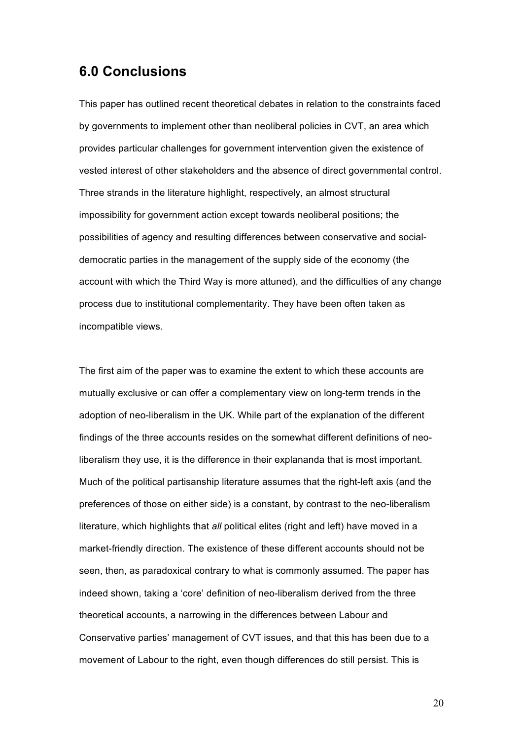### **6.0 Conclusions**

This paper has outlined recent theoretical debates in relation to the constraints faced by governments to implement other than neoliberal policies in CVT, an area which provides particular challenges for government intervention given the existence of vested interest of other stakeholders and the absence of direct governmental control. Three strands in the literature highlight, respectively, an almost structural impossibility for government action except towards neoliberal positions; the possibilities of agency and resulting differences between conservative and socialdemocratic parties in the management of the supply side of the economy (the account with which the Third Way is more attuned), and the difficulties of any change process due to institutional complementarity. They have been often taken as incompatible views.

The first aim of the paper was to examine the extent to which these accounts are mutually exclusive or can offer a complementary view on long-term trends in the adoption of neo-liberalism in the UK. While part of the explanation of the different findings of the three accounts resides on the somewhat different definitions of neoliberalism they use, it is the difference in their explananda that is most important. Much of the political partisanship literature assumes that the right-left axis (and the preferences of those on either side) is a constant, by contrast to the neo-liberalism literature, which highlights that *all* political elites (right and left) have moved in a market-friendly direction. The existence of these different accounts should not be seen, then, as paradoxical contrary to what is commonly assumed. The paper has indeed shown, taking a 'core' definition of neo-liberalism derived from the three theoretical accounts, a narrowing in the differences between Labour and Conservative parties' management of CVT issues, and that this has been due to a movement of Labour to the right, even though differences do still persist. This is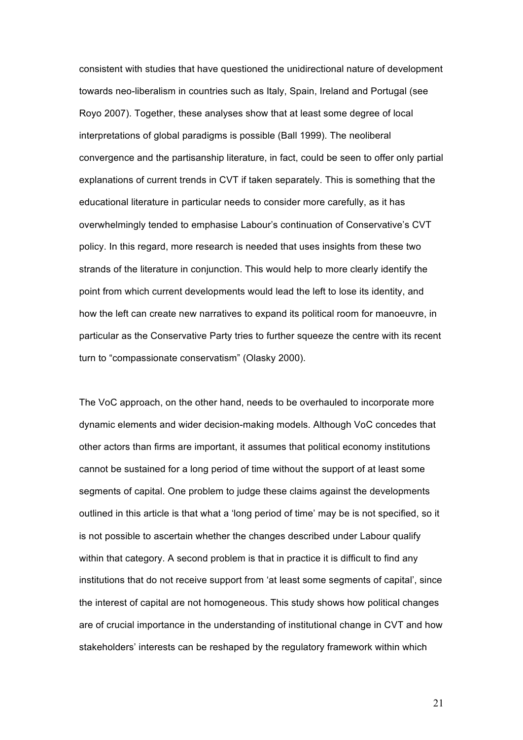consistent with studies that have questioned the unidirectional nature of development towards neo-liberalism in countries such as Italy, Spain, Ireland and Portugal (see Royo 2007). Together, these analyses show that at least some degree of local interpretations of global paradigms is possible (Ball 1999). The neoliberal convergence and the partisanship literature, in fact, could be seen to offer only partial explanations of current trends in CVT if taken separately. This is something that the educational literature in particular needs to consider more carefully, as it has overwhelmingly tended to emphasise Labour's continuation of Conservative's CVT policy. In this regard, more research is needed that uses insights from these two strands of the literature in conjunction. This would help to more clearly identify the point from which current developments would lead the left to lose its identity, and how the left can create new narratives to expand its political room for manoeuvre, in particular as the Conservative Party tries to further squeeze the centre with its recent turn to "compassionate conservatism" (Olasky 2000).

The VoC approach, on the other hand, needs to be overhauled to incorporate more dynamic elements and wider decision-making models. Although VoC concedes that other actors than firms are important, it assumes that political economy institutions cannot be sustained for a long period of time without the support of at least some segments of capital. One problem to judge these claims against the developments outlined in this article is that what a 'long period of time' may be is not specified, so it is not possible to ascertain whether the changes described under Labour qualify within that category. A second problem is that in practice it is difficult to find any institutions that do not receive support from 'at least some segments of capital', since the interest of capital are not homogeneous. This study shows how political changes are of crucial importance in the understanding of institutional change in CVT and how stakeholders' interests can be reshaped by the regulatory framework within which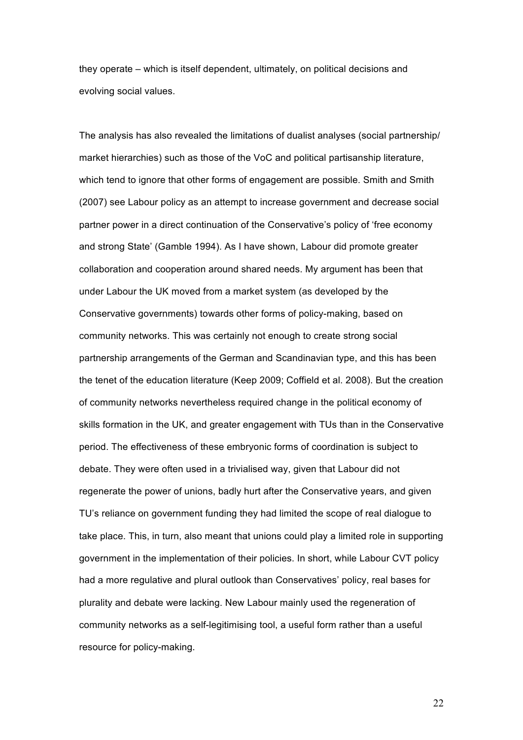they operate – which is itself dependent, ultimately, on political decisions and evolving social values.

The analysis has also revealed the limitations of dualist analyses (social partnership/ market hierarchies) such as those of the VoC and political partisanship literature, which tend to ignore that other forms of engagement are possible. Smith and Smith (2007) see Labour policy as an attempt to increase government and decrease social partner power in a direct continuation of the Conservative's policy of 'free economy and strong State' (Gamble 1994). As I have shown, Labour did promote greater collaboration and cooperation around shared needs. My argument has been that under Labour the UK moved from a market system (as developed by the Conservative governments) towards other forms of policy-making, based on community networks. This was certainly not enough to create strong social partnership arrangements of the German and Scandinavian type, and this has been the tenet of the education literature (Keep 2009; Coffield et al. 2008). But the creation of community networks nevertheless required change in the political economy of skills formation in the UK, and greater engagement with TUs than in the Conservative period. The effectiveness of these embryonic forms of coordination is subject to debate. They were often used in a trivialised way, given that Labour did not regenerate the power of unions, badly hurt after the Conservative years, and given TU's reliance on government funding they had limited the scope of real dialogue to take place. This, in turn, also meant that unions could play a limited role in supporting government in the implementation of their policies. In short, while Labour CVT policy had a more regulative and plural outlook than Conservatives' policy, real bases for plurality and debate were lacking. New Labour mainly used the regeneration of community networks as a self-legitimising tool, a useful form rather than a useful resource for policy-making.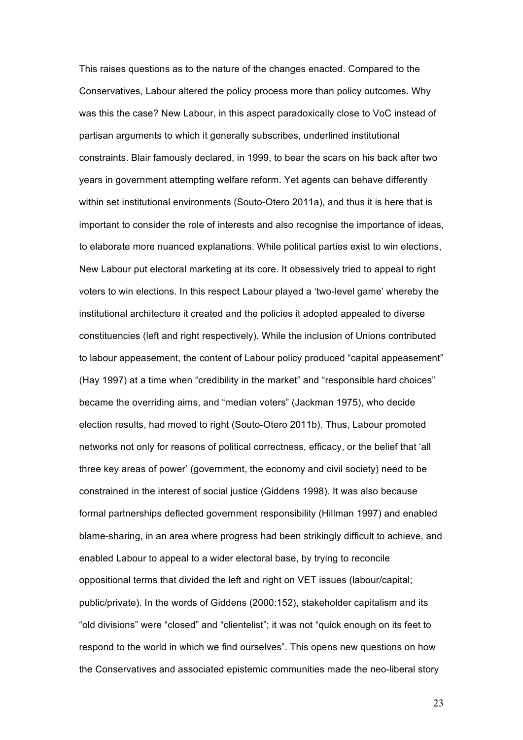This raises questions as to the nature of the changes enacted. Compared to the Conservatives, Labour altered the policy process more than policy outcomes. Why was this the case? New Labour, in this aspect paradoxically close to VoC instead of partisan arguments to which it generally subscribes, underlined institutional constraints. Blair famously declared, in 1999, to bear the scars on his back after two years in government attempting welfare reform. Yet agents can behave differently within set institutional environments (Souto-Otero 2011a), and thus it is here that is important to consider the role of interests and also recognise the importance of ideas, to elaborate more nuanced explanations. While political parties exist to win elections, New Labour put electoral marketing at its core. It obsessively tried to appeal to right voters to win elections. In this respect Labour played a 'two-level game' whereby the institutional architecture it created and the policies it adopted appealed to diverse constituencies (left and right respectively). While the inclusion of Unions contributed to labour appeasement, the content of Labour policy produced "capital appeasement" (Hay 1997) at a time when "credibility in the market" and "responsible hard choices" became the overriding aims, and "median voters" (Jackman 1975), who decide election results, had moved to right (Souto-Otero 2011b). Thus, Labour promoted networks not only for reasons of political correctness, efficacy, or the belief that 'all three key areas of power' (government, the economy and civil society) need to be constrained in the interest of social justice (Giddens 1998). It was also because formal partnerships deflected government responsibility (Hillman 1997) and enabled blame-sharing, in an area where progress had been strikingly difficult to achieve, and enabled Labour to appeal to a wider electoral base, by trying to reconcile oppositional terms that divided the left and right on VET issues (labour/capital; public/private). In the words of Giddens (2000:152), stakeholder capitalism and its "old divisions" were "closed" and "clientelist"; it was not "quick enough on its feet to respond to the world in which we find ourselves". This opens new questions on how the Conservatives and associated epistemic communities made the neo-liberal story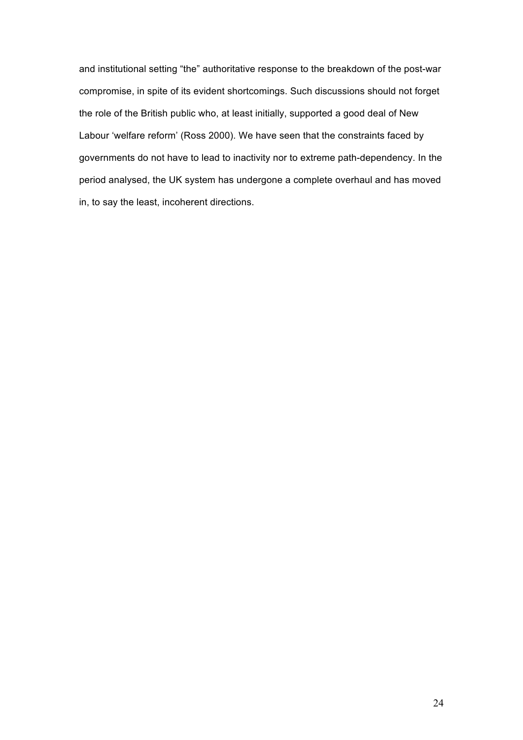and institutional setting "the" authoritative response to the breakdown of the post-war compromise, in spite of its evident shortcomings. Such discussions should not forget the role of the British public who, at least initially, supported a good deal of New Labour 'welfare reform' (Ross 2000). We have seen that the constraints faced by governments do not have to lead to inactivity nor to extreme path-dependency. In the period analysed, the UK system has undergone a complete overhaul and has moved in, to say the least, incoherent directions.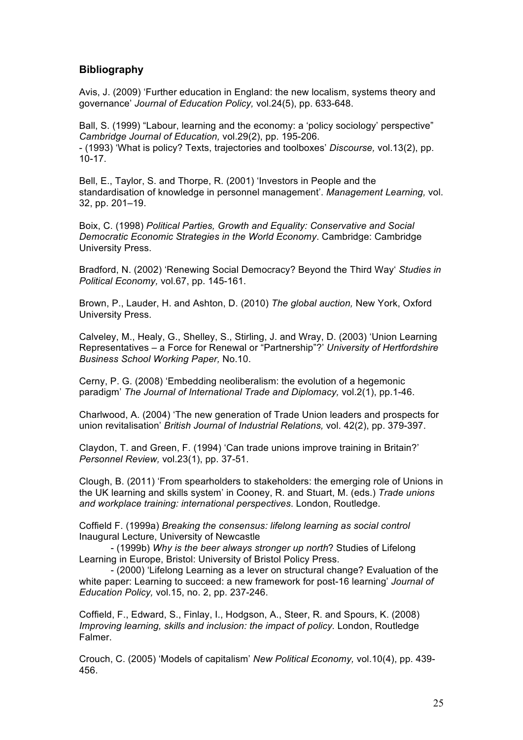#### **Bibliography**

Avis, J. (2009) 'Further education in England: the new localism, systems theory and governance' *Journal of Education Policy,* vol.24(5), pp. 633-648.

Ball, S. (1999) "Labour, learning and the economy: a 'policy sociology' perspective" *Cambridge Journal of Education,* vol.29(2), pp. 195-206. - (1993) 'What is policy? Texts, trajectories and toolboxes' *Discourse,* vol.13(2), pp. 10-17.

Bell, E., Taylor, S. and Thorpe, R. (2001) 'Investors in People and the standardisation of knowledge in personnel management'. *Management Learning,* vol. 32, pp. 201–19.

Boix, C. (1998) *Political Parties, Growth and Equality: Conservative and Social Democratic Economic Strategies in the World Economy*. Cambridge: Cambridge University Press.

Bradford, N. (2002) 'Renewing Social Democracy? Beyond the Third Way' *Studies in Political Economy,* vol.67, pp. 145-161.

Brown, P., Lauder, H. and Ashton, D. (2010) *The global auction,* New York, Oxford University Press.

Calveley, M., Healy, G., Shelley, S., Stirling, J. and Wray, D. (2003) 'Union Learning Representatives – a Force for Renewal or "Partnership"?' *University of Hertfordshire Business School Working Paper,* No.10.

Cerny, P. G. (2008) 'Embedding neoliberalism: the evolution of a hegemonic paradigm' *The Journal of International Trade and Diplomacy,* vol.2(1), pp.1-46.

Charlwood, A. (2004) 'The new generation of Trade Union leaders and prospects for union revitalisation' *British Journal of Industrial Relations,* vol. 42(2), pp. 379-397.

Claydon, T. and Green, F. (1994) 'Can trade unions improve training in Britain?' *Personnel Review,* vol.23(1), pp. 37-51.

Clough, B. (2011) 'From spearholders to stakeholders: the emerging role of Unions in the UK learning and skills system' in Cooney, R. and Stuart, M. (eds.) *Trade unions and workplace training: international perspectives*. London, Routledge.

Coffield F. (1999a) *Breaking the consensus: lifelong learning as social control* Inaugural Lecture, University of Newcastle

- (1999b) *Why is the beer always stronger up north*? Studies of Lifelong Learning in Europe, Bristol: University of Bristol Policy Press.

- (2000) 'Lifelong Learning as a lever on structural change? Evaluation of the white paper: Learning to succeed: a new framework for post-16 learning' *Journal of Education Policy,* vol.15, no. 2, pp. 237-246.

Coffield, F., Edward, S., Finlay, I., Hodgson, A., Steer, R. and Spours, K. (2008) *Improving learning, skills and inclusion: the impact of policy.* London, Routledge Falmer.

Crouch, C. (2005) 'Models of capitalism' *New Political Economy,* vol.10(4), pp. 439- 456.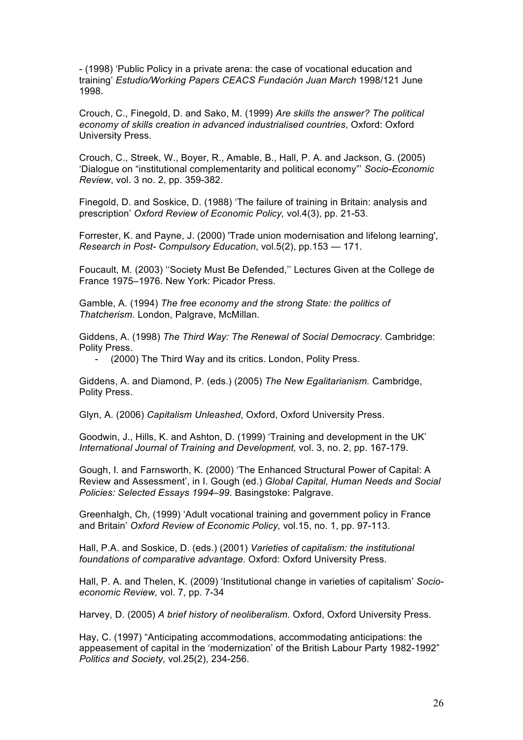- (1998) 'Public Policy in a private arena: the case of vocational education and training' *Estudio/Working Papers CEACS Fundación Juan March* 1998/121 June 1998.

Crouch, C., Finegold, D. and Sako, M. (1999) *Are skills the answer? The political economy of skills creation in advanced industrialised countries*, Oxford: Oxford University Press.

Crouch, C., Streek, W., Boyer, R., Amable, B., Hall, P. A. and Jackson, G. (2005) 'Dialogue on "institutional complementarity and political economy"' *Socio-Economic Review*, vol. 3 no. 2, pp. 359-382.

Finegold, D. and Soskice, D. (1988) 'The failure of training in Britain: analysis and prescription' *Oxford Review of Economic Policy,* vol.4(3), pp. 21-53.

Forrester, K. and Payne, J. (2000) 'Trade union modernisation and lifelong learning', *Research in Post- Compulsory Education*, vol.5(2), pp.153 — 171.

Foucault, M. (2003) ''Society Must Be Defended,'' Lectures Given at the College de France 1975–1976. New York: Picador Press.

Gamble, A. (1994) *The free economy and the strong State: the politics of Thatcherism.* London, Palgrave, McMillan.

Giddens, A. (1998) *The Third Way: The Renewal of Social Democracy*. Cambridge: Polity Press.

(2000) The Third Way and its critics. London, Polity Press.

Giddens, A. and Diamond, P. (eds.) (2005) *The New Egalitarianism.* Cambridge, Polity Press.

Glyn, A. (2006) *Capitalism Unleashed*, Oxford, Oxford University Press.

Goodwin, J., Hills, K. and Ashton, D. (1999) 'Training and development in the UK' *International Journal of Training and Development,* vol. 3, no. 2, pp. 167-179.

Gough, I. and Farnsworth, K. (2000) 'The Enhanced Structural Power of Capital: A Review and Assessment', in I. Gough (ed.) *Global Capital, Human Needs and Social Policies: Selected Essays 1994–99*. Basingstoke: Palgrave.

Greenhalgh, Ch, (1999) 'Adult vocational training and government policy in France and Britain' *Oxford Review of Economic Policy,* vol.15, no. 1, pp. 97-113.

Hall, P.A. and Soskice, D. (eds.) (2001) *Varieties of capitalism: the institutional foundations of comparative advantage*. Oxford: Oxford University Press.

Hall, P. A. and Thelen, K. (2009) 'Institutional change in varieties of capitalism' *Socioeconomic Review,* vol. 7, pp. 7-34

Harvey, D. (2005) *A brief history of neoliberalism*. Oxford, Oxford University Press.

Hay, C. (1997) "Anticipating accommodations, accommodating anticipations: the appeasement of capital in the 'modernization' of the British Labour Party 1982-1992" *Politics and Society,* vol.25(2), 234-256.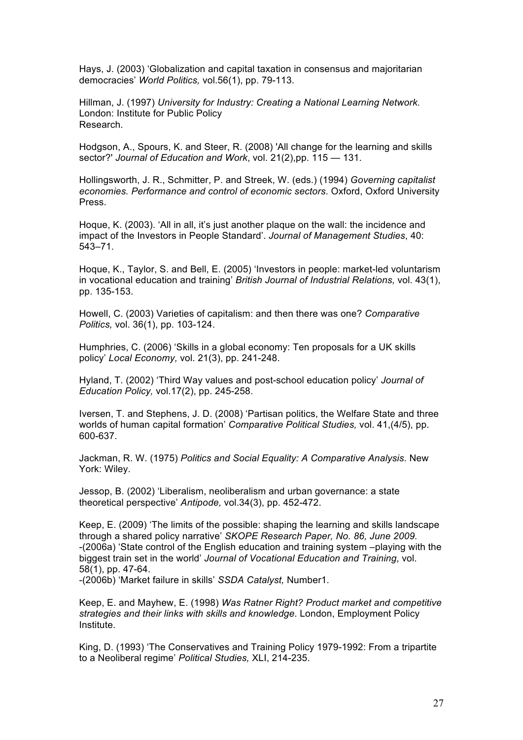Hays, J. (2003) 'Globalization and capital taxation in consensus and majoritarian democracies' *World Politics,* vol.56(1), pp. 79-113.

Hillman, J. (1997) *University for Industry: Creating a National Learning Network.* London: Institute for Public Policy Research.

Hodgson, A., Spours, K. and Steer, R. (2008) 'All change for the learning and skills sector?' *Journal of Education and Work*, vol. 21(2),pp. 115 — 131.

Hollingsworth, J. R., Schmitter, P. and Streek, W. (eds.) (1994) *Governing capitalist economies. Performance and control of economic sectors*. Oxford, Oxford University Press.

Hoque, K. (2003). 'All in all, it's just another plaque on the wall: the incidence and impact of the Investors in People Standard'. *Journal of Management Studies*, 40: 543–71.

Hoque, K., Taylor, S. and Bell, E. (2005) 'Investors in people: market-led voluntarism in vocational education and training' *British Journal of Industrial Relations,* vol. 43(1), pp. 135-153.

Howell, C. (2003) Varieties of capitalism: and then there was one? *Comparative Politics,* vol. 36(1), pp. 103-124.

Humphries, C. (2006) 'Skills in a global economy: Ten proposals for a UK skills policy' *Local Economy,* vol. 21(3), pp. 241-248.

Hyland, T. (2002) 'Third Way values and post-school education policy' *Journal of Education Policy,* vol.17(2), pp. 245-258.

Iversen, T. and Stephens, J. D. (2008) 'Partisan politics, the Welfare State and three worlds of human capital formation' *Comparative Political Studies,* vol. 41,(4/5), pp. 600-637.

Jackman, R. W. (1975) *Politics and Social Equality: A Comparative Analysis*. New York: Wiley.

Jessop, B. (2002) 'Liberalism, neoliberalism and urban governance: a state theoretical perspective' *Antipode,* vol.34(3), pp. 452-472.

Keep, E. (2009) 'The limits of the possible: shaping the learning and skills landscape through a shared policy narrative' *SKOPE Research Paper, No. 86, June 2009.* -(2006a) 'State control of the English education and training system –playing with the biggest train set in the world' *Journal of Vocational Education and Training*, vol. 58(1), pp. 47-64.

-(2006b) 'Market failure in skills' *SSDA Catalyst,* Number1.

Keep, E. and Mayhew, E. (1998) *Was Ratner Right? Product market and competitive strategies and their links with skills and knowledge*. London, Employment Policy Institute.

King, D. (1993) 'The Conservatives and Training Policy 1979-1992: From a tripartite to a Neoliberal regime' *Political Studies,* XLI, 214-235.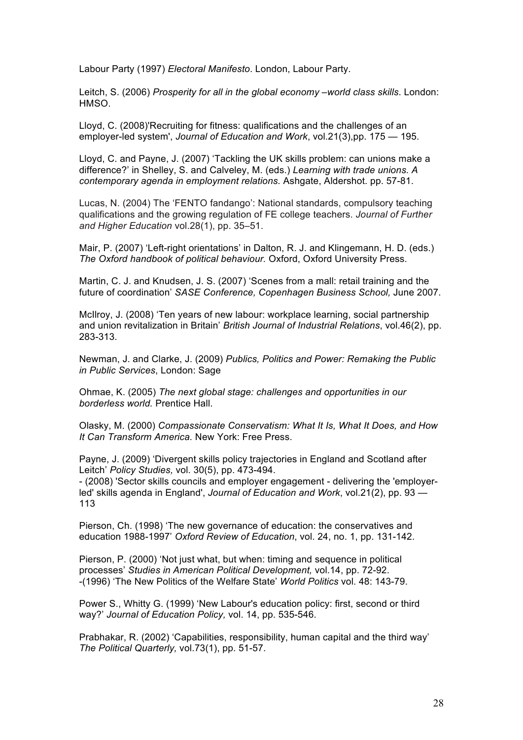Labour Party (1997) *Electoral Manifesto*. London, Labour Party.

Leitch, S. (2006) *Prosperity for all in the global economy –world class skills*. London: HMSO.

Lloyd, C. (2008)'Recruiting for fitness: qualifications and the challenges of an employer-led system', *Journal of Education and Work*, vol.21(3),pp. 175 — 195.

Lloyd, C. and Payne, J. (2007) 'Tackling the UK skills problem: can unions make a difference?' in Shelley, S. and Calveley, M. (eds.) *Learning with trade unions. A contemporary agenda in employment relations.* Ashgate, Aldershot. pp. 57-81.

Lucas, N. (2004) The 'FENTO fandango': National standards, compulsory teaching qualifications and the growing regulation of FE college teachers. *Journal of Further and Higher Education* vol.28(1), pp. 35–51.

Mair, P. (2007) 'Left-right orientations' in Dalton, R. J. and Klingemann, H. D. (eds.) *The Oxford handbook of political behaviour.* Oxford, Oxford University Press.

Martin, C. J. and Knudsen, J. S. (2007) 'Scenes from a mall: retail training and the future of coordination' *SASE Conference, Copenhagen Business School,* June 2007.

McIlroy, J. (2008) 'Ten years of new labour: workplace learning, social partnership and union revitalization in Britain' *British Journal of Industrial Relations*, vol.46(2), pp. 283-313.

Newman, J. and Clarke, J. (2009) *Publics, Politics and Power: Remaking the Public in Public Services*, London: Sage

Ohmae, K. (2005) *The next global stage: challenges and opportunities in our borderless world.* Prentice Hall.

Olasky, M. (2000) *Compassionate Conservatism: What It Is, What It Does, and How It Can Transform America.* New York: Free Press.

Payne, J. (2009) 'Divergent skills policy trajectories in England and Scotland after Leitch' *Policy Studies,* vol. 30(5), pp. 473-494.

- (2008) 'Sector skills councils and employer engagement - delivering the 'employerled' skills agenda in England', *Journal of Education and Work*, vol.21(2), pp. 93 — 113

Pierson, Ch. (1998) 'The new governance of education: the conservatives and education 1988-1997' *Oxford Review of Education*, vol. 24, no. 1, pp. 131-142.

Pierson, P. (2000) 'Not just what, but when: timing and sequence in political processes' *Studies in American Political Development,* vol.14, pp. 72-92. -(1996) 'The New Politics of the Welfare State' *World Politics* vol. 48: 143-79.

Power S., Whitty G. (1999) 'New Labour's education policy: first, second or third way?' *Journal of Education Policy,* vol. 14, pp. 535-546.

Prabhakar, R. (2002) 'Capabilities, responsibility, human capital and the third way' *The Political Quarterly,* vol.73(1), pp. 51-57.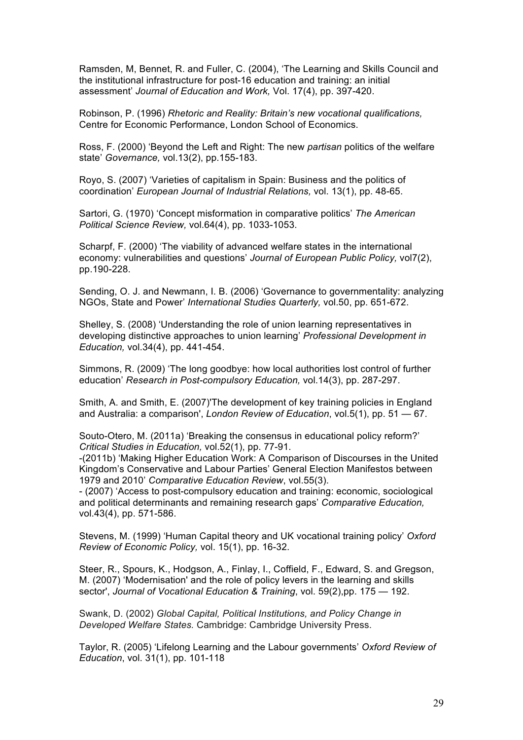Ramsden, M, Bennet, R. and Fuller, C. (2004), 'The Learning and Skills Council and the institutional infrastructure for post-16 education and training: an initial assessment' *Journal of Education and Work,* Vol. 17(4), pp. 397-420.

Robinson, P. (1996) *Rhetoric and Reality: Britain's new vocational qualifications,*  Centre for Economic Performance, London School of Economics.

Ross, F. (2000) 'Beyond the Left and Right: The new *partisan* politics of the welfare state' *Governance,* vol.13(2), pp.155-183.

Royo, S. (2007) 'Varieties of capitalism in Spain: Business and the politics of coordination' *European Journal of Industrial Relations,* vol. 13(1), pp. 48-65.

Sartori, G. (1970) 'Concept misformation in comparative politics' *The American Political Science Review,* vol.64(4), pp. 1033-1053.

Scharpf, F. (2000) 'The viability of advanced welfare states in the international economy: vulnerabilities and questions' *Journal of European Public Policy,* vol7(2), pp.190-228.

Sending, O. J. and Newmann, I. B. (2006) 'Governance to governmentality: analyzing NGOs, State and Power' *International Studies Quarterly,* vol.50, pp. 651-672.

Shelley, S. (2008) 'Understanding the role of union learning representatives in developing distinctive approaches to union learning' *Professional Development in Education,* vol.34(4), pp. 441-454.

Simmons, R. (2009) 'The long goodbye: how local authorities lost control of further education' *Research in Post-compulsory Education,* vol.14(3), pp. 287-297.

Smith, A. and Smith, E. (2007)'The development of key training policies in England and Australia: a comparison', *London Review of Education*, vol.5(1), pp. 51 — 67.

Souto-Otero, M. (2011a) 'Breaking the consensus in educational policy reform?' *Critical Studies in Education,* vol.52(1), pp. 77-91.

-(2011b) 'Making Higher Education Work: A Comparison of Discourses in the United Kingdom's Conservative and Labour Parties' General Election Manifestos between 1979 and 2010' *Comparative Education Review*, vol.55(3).

- (2007) 'Access to post-compulsory education and training: economic, sociological and political determinants and remaining research gaps' *Comparative Education,*  vol.43(4), pp. 571-586.

Stevens, M. (1999) 'Human Capital theory and UK vocational training policy' *Oxford Review of Economic Policy,* vol. 15(1), pp. 16-32.

Steer, R., Spours, K., Hodgson, A., Finlay, I., Coffield, F., Edward, S. and Gregson, M. (2007) 'Modernisation' and the role of policy levers in the learning and skills sector', *Journal of Vocational Education & Training*, vol. 59(2),pp. 175 — 192.

Swank, D. (2002) *Global Capital, Political Institutions, and Policy Change in Developed Welfare States.* Cambridge: Cambridge University Press.

Taylor, R. (2005) 'Lifelong Learning and the Labour governments' *Oxford Review of Education*, vol. 31(1), pp. 101-118